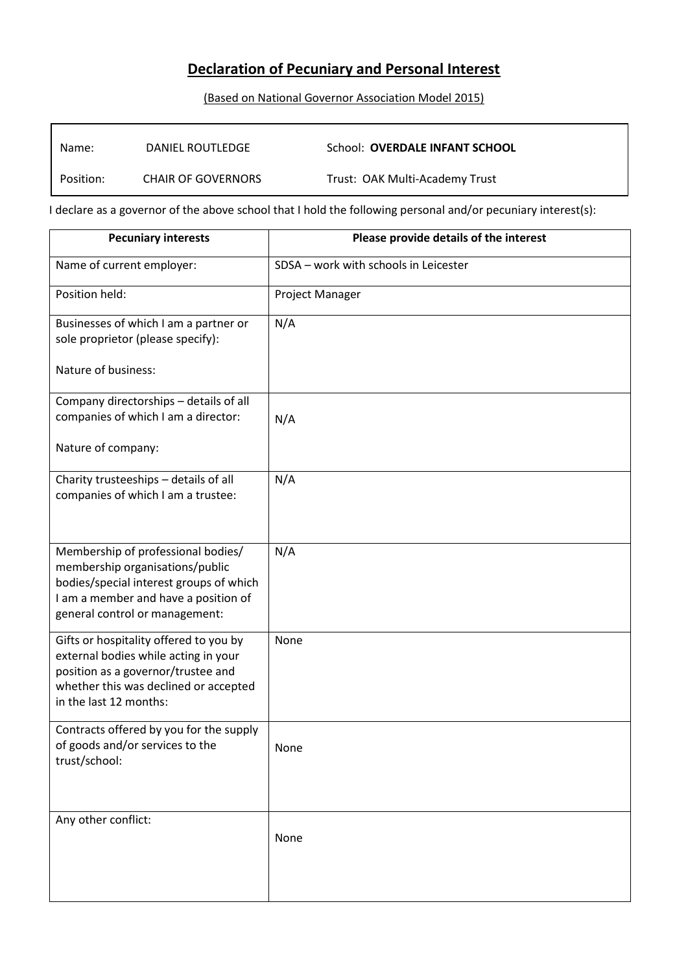# **Declaration of Pecuniary and Personal Interest**

### (Based on National Governor Association Model 2015)

| Name:     | DANIEL ROUTLEDGE          | School: <b>OVERDALE INFANT SCHOOL</b> |
|-----------|---------------------------|---------------------------------------|
| Position: | <b>CHAIR OF GOVERNORS</b> | Trust: OAK Multi-Academy Trust        |

I declare as a governor of the above school that I hold the following personal and/or pecuniary interest(s):

| <b>Pecuniary interests</b>                                                                                                                                                                 | Please provide details of the interest |
|--------------------------------------------------------------------------------------------------------------------------------------------------------------------------------------------|----------------------------------------|
| Name of current employer:                                                                                                                                                                  | SDSA - work with schools in Leicester  |
| Position held:                                                                                                                                                                             | Project Manager                        |
| Businesses of which I am a partner or<br>sole proprietor (please specify):<br>Nature of business:                                                                                          | N/A                                    |
|                                                                                                                                                                                            |                                        |
| Company directorships - details of all<br>companies of which I am a director:                                                                                                              | N/A                                    |
| Nature of company:                                                                                                                                                                         |                                        |
| Charity trusteeships - details of all<br>companies of which I am a trustee:                                                                                                                | N/A                                    |
| Membership of professional bodies/<br>membership organisations/public<br>bodies/special interest groups of which<br>I am a member and have a position of<br>general control or management: | N/A                                    |
| Gifts or hospitality offered to you by<br>external bodies while acting in your<br>position as a governor/trustee and<br>whether this was declined or accepted<br>in the last 12 months:    | None                                   |
| Contracts offered by you for the supply<br>of goods and/or services to the<br>trust/school:                                                                                                | None                                   |
| Any other conflict:                                                                                                                                                                        | None                                   |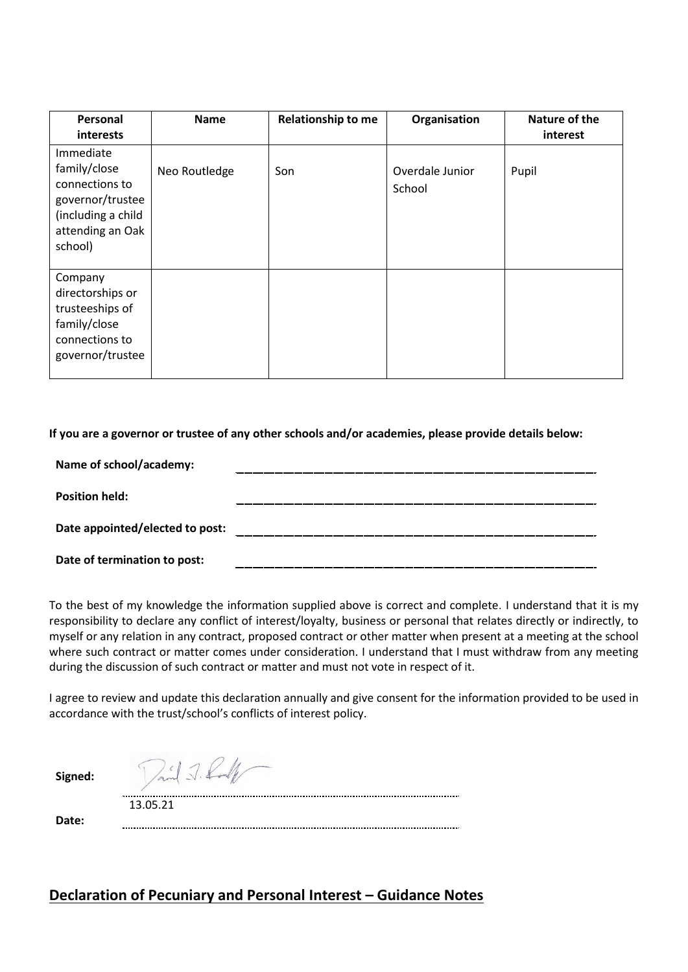| Personal                                                                                                             | <b>Name</b>   | <b>Relationship to me</b> | Organisation              | Nature of the |
|----------------------------------------------------------------------------------------------------------------------|---------------|---------------------------|---------------------------|---------------|
| interests                                                                                                            |               |                           |                           | interest      |
| Immediate<br>family/close<br>connections to<br>governor/trustee<br>(including a child<br>attending an Oak<br>school) | Neo Routledge | Son                       | Overdale Junior<br>School | Pupil         |
| Company<br>directorships or<br>trusteeships of<br>family/close<br>connections to<br>governor/trustee                 |               |                           |                           |               |

#### **If you are a governor or trustee of any other schools and/or academies, please provide details below:**

| Name of school/academy:         |  |
|---------------------------------|--|
| <b>Position held:</b>           |  |
| Date appointed/elected to post: |  |
| Date of termination to post:    |  |

To the best of my knowledge the information supplied above is correct and complete. I understand that it is my responsibility to declare any conflict of interest/loyalty, business or personal that relates directly or indirectly, to myself or any relation in any contract, proposed contract or other matter when present at a meeting at the school where such contract or matter comes under consideration. I understand that I must withdraw from any meeting during the discussion of such contract or matter and must not vote in respect of it.

I agree to review and update this declaration annually and give consent for the information provided to be used in accordance with the trust/school's conflicts of interest policy.

**Signed:**

Paid J. Conf

13.05.21

**Date:**

## **Declaration of Pecuniary and Personal Interest – Guidance Notes**